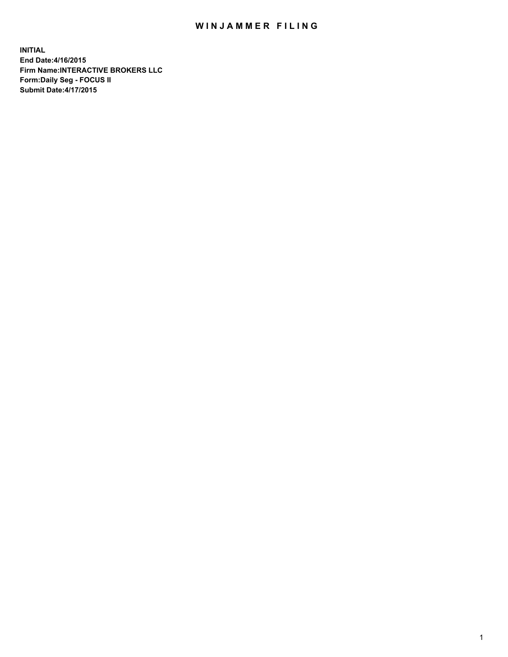## WIN JAMMER FILING

**INITIAL End Date:4/16/2015 Firm Name:INTERACTIVE BROKERS LLC Form:Daily Seg - FOCUS II Submit Date:4/17/2015**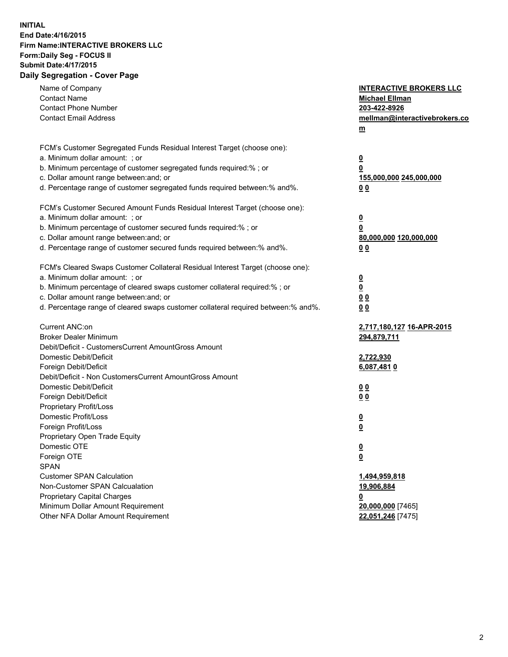## **INITIAL End Date:4/16/2015 Firm Name:INTERACTIVE BROKERS LLC Form:Daily Seg - FOCUS II Submit Date:4/17/2015 Daily Segregation - Cover Page**

| Name of Company<br><b>Contact Name</b><br><b>Contact Phone Number</b><br><b>Contact Email Address</b>                                                                                                                                                                                                                          | <b>INTERACTIVE BROKERS LLC</b><br><b>Michael Ellman</b><br>203-422-8926<br>mellman@interactivebrokers.co<br>$m$ |
|--------------------------------------------------------------------------------------------------------------------------------------------------------------------------------------------------------------------------------------------------------------------------------------------------------------------------------|-----------------------------------------------------------------------------------------------------------------|
| FCM's Customer Segregated Funds Residual Interest Target (choose one):<br>a. Minimum dollar amount: ; or<br>b. Minimum percentage of customer segregated funds required:% ; or<br>c. Dollar amount range between: and; or<br>d. Percentage range of customer segregated funds required between:% and%.                         | <u>0</u><br><u>0</u><br>155,000,000 245,000,000<br>0 <sub>0</sub>                                               |
| FCM's Customer Secured Amount Funds Residual Interest Target (choose one):<br>a. Minimum dollar amount: ; or<br>b. Minimum percentage of customer secured funds required:% ; or<br>c. Dollar amount range between: and; or<br>d. Percentage range of customer secured funds required between:% and%.                           | <u>0</u><br>0<br>80,000,000 120,000,000<br>0 <sub>0</sub>                                                       |
| FCM's Cleared Swaps Customer Collateral Residual Interest Target (choose one):<br>a. Minimum dollar amount: ; or<br>b. Minimum percentage of cleared swaps customer collateral required:% ; or<br>c. Dollar amount range between: and; or<br>d. Percentage range of cleared swaps customer collateral required between:% and%. | $\overline{\mathbf{0}}$<br>$\underline{\mathbf{0}}$<br>0 <sub>0</sub><br>0 <sub>0</sub>                         |
| Current ANC:on<br><b>Broker Dealer Minimum</b><br>Debit/Deficit - CustomersCurrent AmountGross Amount<br>Domestic Debit/Deficit<br>Foreign Debit/Deficit                                                                                                                                                                       | 2,717,180,127 16-APR-2015<br>294,879,711<br>2,722,930<br>6,087,4810                                             |
| Debit/Deficit - Non CustomersCurrent AmountGross Amount<br>Domestic Debit/Deficit<br>Foreign Debit/Deficit<br>Proprietary Profit/Loss<br>Domestic Profit/Loss                                                                                                                                                                  | 0 <sub>0</sub><br>0 <sub>0</sub><br><u>0</u>                                                                    |
| Foreign Profit/Loss<br>Proprietary Open Trade Equity<br>Domestic OTE<br>Foreign OTE<br><b>SPAN</b><br><b>Customer SPAN Calculation</b>                                                                                                                                                                                         | <u>0</u><br><u>0</u><br><u>0</u><br>1,494,959,818                                                               |
| Non-Customer SPAN Calcualation<br><b>Proprietary Capital Charges</b><br>Minimum Dollar Amount Requirement<br>Other NFA Dollar Amount Requirement                                                                                                                                                                               | 19,906,884<br><u>0</u><br>20,000,000 [7465]<br>22,051,246 [7475]                                                |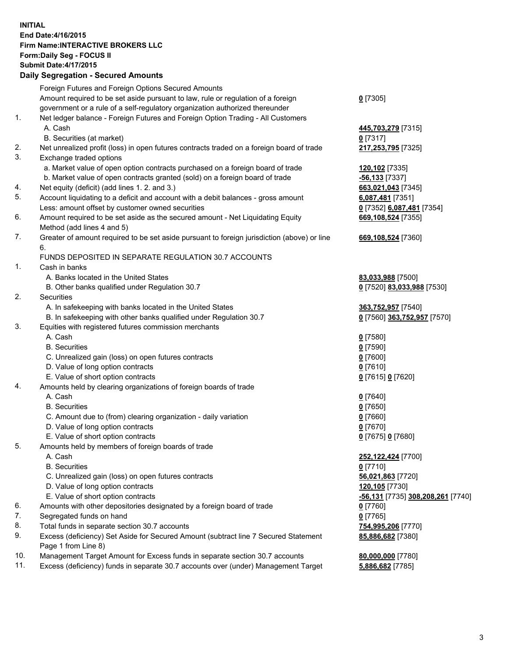## **INITIAL End Date:4/16/2015 Firm Name:INTERACTIVE BROKERS LLC Form:Daily Seg - FOCUS II Submit Date:4/17/2015 Daily Segregation - Secured Amounts**

| Daily Ocglegation - Occarea Anioants                                                        |                                                                                                                                                                                                                                                                                                                                                                                                                                                                                                                                                                                                                                                                                                                                                                                                                                                                                                                                                                                                                                      |
|---------------------------------------------------------------------------------------------|--------------------------------------------------------------------------------------------------------------------------------------------------------------------------------------------------------------------------------------------------------------------------------------------------------------------------------------------------------------------------------------------------------------------------------------------------------------------------------------------------------------------------------------------------------------------------------------------------------------------------------------------------------------------------------------------------------------------------------------------------------------------------------------------------------------------------------------------------------------------------------------------------------------------------------------------------------------------------------------------------------------------------------------|
| Foreign Futures and Foreign Options Secured Amounts                                         |                                                                                                                                                                                                                                                                                                                                                                                                                                                                                                                                                                                                                                                                                                                                                                                                                                                                                                                                                                                                                                      |
| Amount required to be set aside pursuant to law, rule or regulation of a foreign            | $0$ [7305]                                                                                                                                                                                                                                                                                                                                                                                                                                                                                                                                                                                                                                                                                                                                                                                                                                                                                                                                                                                                                           |
| government or a rule of a self-regulatory organization authorized thereunder                |                                                                                                                                                                                                                                                                                                                                                                                                                                                                                                                                                                                                                                                                                                                                                                                                                                                                                                                                                                                                                                      |
| Net ledger balance - Foreign Futures and Foreign Option Trading - All Customers             |                                                                                                                                                                                                                                                                                                                                                                                                                                                                                                                                                                                                                                                                                                                                                                                                                                                                                                                                                                                                                                      |
| A. Cash                                                                                     | 445,703,279 [7315]                                                                                                                                                                                                                                                                                                                                                                                                                                                                                                                                                                                                                                                                                                                                                                                                                                                                                                                                                                                                                   |
| B. Securities (at market)                                                                   | $0$ [7317]                                                                                                                                                                                                                                                                                                                                                                                                                                                                                                                                                                                                                                                                                                                                                                                                                                                                                                                                                                                                                           |
| Net unrealized profit (loss) in open futures contracts traded on a foreign board of trade   | 217,253,795 [7325]                                                                                                                                                                                                                                                                                                                                                                                                                                                                                                                                                                                                                                                                                                                                                                                                                                                                                                                                                                                                                   |
| Exchange traded options                                                                     |                                                                                                                                                                                                                                                                                                                                                                                                                                                                                                                                                                                                                                                                                                                                                                                                                                                                                                                                                                                                                                      |
| a. Market value of open option contracts purchased on a foreign board of trade              | 120,102 [7335]                                                                                                                                                                                                                                                                                                                                                                                                                                                                                                                                                                                                                                                                                                                                                                                                                                                                                                                                                                                                                       |
| b. Market value of open contracts granted (sold) on a foreign board of trade                | $-56,133$ [7337]                                                                                                                                                                                                                                                                                                                                                                                                                                                                                                                                                                                                                                                                                                                                                                                                                                                                                                                                                                                                                     |
| Net equity (deficit) (add lines 1.2. and 3.)                                                | 663,021,043 [7345]                                                                                                                                                                                                                                                                                                                                                                                                                                                                                                                                                                                                                                                                                                                                                                                                                                                                                                                                                                                                                   |
| Account liquidating to a deficit and account with a debit balances - gross amount           | 6,087,481 [7351]                                                                                                                                                                                                                                                                                                                                                                                                                                                                                                                                                                                                                                                                                                                                                                                                                                                                                                                                                                                                                     |
| Less: amount offset by customer owned securities                                            | 0 [7352] 6,087,481 [7354]                                                                                                                                                                                                                                                                                                                                                                                                                                                                                                                                                                                                                                                                                                                                                                                                                                                                                                                                                                                                            |
| Amount required to be set aside as the secured amount - Net Liquidating Equity              | 669,108,524 [7355]                                                                                                                                                                                                                                                                                                                                                                                                                                                                                                                                                                                                                                                                                                                                                                                                                                                                                                                                                                                                                   |
| Method (add lines 4 and 5)                                                                  |                                                                                                                                                                                                                                                                                                                                                                                                                                                                                                                                                                                                                                                                                                                                                                                                                                                                                                                                                                                                                                      |
| Greater of amount required to be set aside pursuant to foreign jurisdiction (above) or line | 669,108,524 [7360]                                                                                                                                                                                                                                                                                                                                                                                                                                                                                                                                                                                                                                                                                                                                                                                                                                                                                                                                                                                                                   |
| 6.                                                                                          |                                                                                                                                                                                                                                                                                                                                                                                                                                                                                                                                                                                                                                                                                                                                                                                                                                                                                                                                                                                                                                      |
| FUNDS DEPOSITED IN SEPARATE REGULATION 30.7 ACCOUNTS                                        |                                                                                                                                                                                                                                                                                                                                                                                                                                                                                                                                                                                                                                                                                                                                                                                                                                                                                                                                                                                                                                      |
| Cash in banks                                                                               |                                                                                                                                                                                                                                                                                                                                                                                                                                                                                                                                                                                                                                                                                                                                                                                                                                                                                                                                                                                                                                      |
| A. Banks located in the United States                                                       | 83,033,988 [7500]                                                                                                                                                                                                                                                                                                                                                                                                                                                                                                                                                                                                                                                                                                                                                                                                                                                                                                                                                                                                                    |
| B. Other banks qualified under Regulation 30.7                                              | 0 [7520] 83,033,988 [7530]                                                                                                                                                                                                                                                                                                                                                                                                                                                                                                                                                                                                                                                                                                                                                                                                                                                                                                                                                                                                           |
| Securities                                                                                  |                                                                                                                                                                                                                                                                                                                                                                                                                                                                                                                                                                                                                                                                                                                                                                                                                                                                                                                                                                                                                                      |
| A. In safekeeping with banks located in the United States                                   | 363,752,957 [7540]                                                                                                                                                                                                                                                                                                                                                                                                                                                                                                                                                                                                                                                                                                                                                                                                                                                                                                                                                                                                                   |
|                                                                                             | 0 [7560] 363,752,957 [7570]                                                                                                                                                                                                                                                                                                                                                                                                                                                                                                                                                                                                                                                                                                                                                                                                                                                                                                                                                                                                          |
| Equities with registered futures commission merchants                                       |                                                                                                                                                                                                                                                                                                                                                                                                                                                                                                                                                                                                                                                                                                                                                                                                                                                                                                                                                                                                                                      |
|                                                                                             | $0$ [7580]                                                                                                                                                                                                                                                                                                                                                                                                                                                                                                                                                                                                                                                                                                                                                                                                                                                                                                                                                                                                                           |
| <b>B.</b> Securities                                                                        | $0$ [7590]                                                                                                                                                                                                                                                                                                                                                                                                                                                                                                                                                                                                                                                                                                                                                                                                                                                                                                                                                                                                                           |
|                                                                                             | $0$ [7600]                                                                                                                                                                                                                                                                                                                                                                                                                                                                                                                                                                                                                                                                                                                                                                                                                                                                                                                                                                                                                           |
|                                                                                             | $0$ [7610]                                                                                                                                                                                                                                                                                                                                                                                                                                                                                                                                                                                                                                                                                                                                                                                                                                                                                                                                                                                                                           |
|                                                                                             | 0 [7615] 0 [7620]                                                                                                                                                                                                                                                                                                                                                                                                                                                                                                                                                                                                                                                                                                                                                                                                                                                                                                                                                                                                                    |
|                                                                                             |                                                                                                                                                                                                                                                                                                                                                                                                                                                                                                                                                                                                                                                                                                                                                                                                                                                                                                                                                                                                                                      |
|                                                                                             | $0$ [7640]                                                                                                                                                                                                                                                                                                                                                                                                                                                                                                                                                                                                                                                                                                                                                                                                                                                                                                                                                                                                                           |
|                                                                                             | $0$ [7650]                                                                                                                                                                                                                                                                                                                                                                                                                                                                                                                                                                                                                                                                                                                                                                                                                                                                                                                                                                                                                           |
|                                                                                             | $0$ [7660]                                                                                                                                                                                                                                                                                                                                                                                                                                                                                                                                                                                                                                                                                                                                                                                                                                                                                                                                                                                                                           |
|                                                                                             | $0$ [7670]                                                                                                                                                                                                                                                                                                                                                                                                                                                                                                                                                                                                                                                                                                                                                                                                                                                                                                                                                                                                                           |
|                                                                                             | 0 [7675] 0 [7680]                                                                                                                                                                                                                                                                                                                                                                                                                                                                                                                                                                                                                                                                                                                                                                                                                                                                                                                                                                                                                    |
|                                                                                             |                                                                                                                                                                                                                                                                                                                                                                                                                                                                                                                                                                                                                                                                                                                                                                                                                                                                                                                                                                                                                                      |
|                                                                                             | 252,122,424 [7700]                                                                                                                                                                                                                                                                                                                                                                                                                                                                                                                                                                                                                                                                                                                                                                                                                                                                                                                                                                                                                   |
|                                                                                             | $0$ [7710]                                                                                                                                                                                                                                                                                                                                                                                                                                                                                                                                                                                                                                                                                                                                                                                                                                                                                                                                                                                                                           |
|                                                                                             | 56,021,863 [7720]                                                                                                                                                                                                                                                                                                                                                                                                                                                                                                                                                                                                                                                                                                                                                                                                                                                                                                                                                                                                                    |
|                                                                                             | 120,105 [7730]                                                                                                                                                                                                                                                                                                                                                                                                                                                                                                                                                                                                                                                                                                                                                                                                                                                                                                                                                                                                                       |
|                                                                                             | <u>-56,131</u> [7735] 308,208,261 [7740]                                                                                                                                                                                                                                                                                                                                                                                                                                                                                                                                                                                                                                                                                                                                                                                                                                                                                                                                                                                             |
|                                                                                             | 0 [7760]                                                                                                                                                                                                                                                                                                                                                                                                                                                                                                                                                                                                                                                                                                                                                                                                                                                                                                                                                                                                                             |
|                                                                                             | $0$ [7765]                                                                                                                                                                                                                                                                                                                                                                                                                                                                                                                                                                                                                                                                                                                                                                                                                                                                                                                                                                                                                           |
|                                                                                             | 754,995,206 [7770]                                                                                                                                                                                                                                                                                                                                                                                                                                                                                                                                                                                                                                                                                                                                                                                                                                                                                                                                                                                                                   |
| Page 1 from Line 8)                                                                         | 85,886,682 [7380]                                                                                                                                                                                                                                                                                                                                                                                                                                                                                                                                                                                                                                                                                                                                                                                                                                                                                                                                                                                                                    |
| Management Target Amount for Excess funds in separate section 30.7 accounts                 | 80,000,000 [7780]                                                                                                                                                                                                                                                                                                                                                                                                                                                                                                                                                                                                                                                                                                                                                                                                                                                                                                                                                                                                                    |
|                                                                                             | 5,886,682 [7785]                                                                                                                                                                                                                                                                                                                                                                                                                                                                                                                                                                                                                                                                                                                                                                                                                                                                                                                                                                                                                     |
|                                                                                             | B. In safekeeping with other banks qualified under Regulation 30.7<br>A. Cash<br>C. Unrealized gain (loss) on open futures contracts<br>D. Value of long option contracts<br>E. Value of short option contracts<br>Amounts held by clearing organizations of foreign boards of trade<br>A. Cash<br><b>B.</b> Securities<br>C. Amount due to (from) clearing organization - daily variation<br>D. Value of long option contracts<br>E. Value of short option contracts<br>Amounts held by members of foreign boards of trade<br>A. Cash<br><b>B.</b> Securities<br>C. Unrealized gain (loss) on open futures contracts<br>D. Value of long option contracts<br>E. Value of short option contracts<br>Amounts with other depositories designated by a foreign board of trade<br>Segregated funds on hand<br>Total funds in separate section 30.7 accounts<br>Excess (deficiency) Set Aside for Secured Amount (subtract line 7 Secured Statement<br>Excess (deficiency) funds in separate 30.7 accounts over (under) Management Target |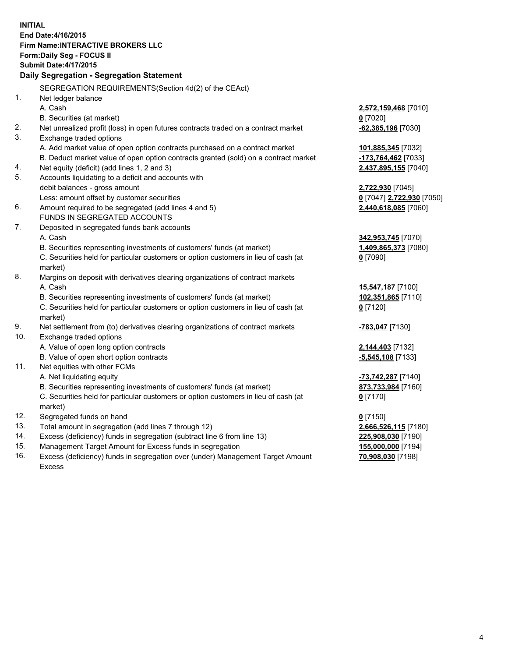**INITIAL End Date:4/16/2015 Firm Name:INTERACTIVE BROKERS LLC Form:Daily Seg - FOCUS II Submit Date:4/17/2015 Daily Segregation - Segregation Statement** SEGREGATION REQUIREMENTS(Section 4d(2) of the CEAct) 1. Net ledger balance A. Cash **2,572,159,468** [7010] B. Securities (at market) **0** [7020] 2. Net unrealized profit (loss) in open futures contracts traded on a contract market **-62,385,196** [7030] 3. Exchange traded options A. Add market value of open option contracts purchased on a contract market **101,885,345** [7032] B. Deduct market value of open option contracts granted (sold) on a contract market **-173,764,462** [7033] 4. Net equity (deficit) (add lines 1, 2 and 3) **2,437,895,155** [7040] 5. Accounts liquidating to a deficit and accounts with debit balances - gross amount **2,722,930** [7045] Less: amount offset by customer securities **0** [7047] **2,722,930** [7050] 6. Amount required to be segregated (add lines 4 and 5) **2,440,618,085** [7060] FUNDS IN SEGREGATED ACCOUNTS 7. Deposited in segregated funds bank accounts A. Cash **342,953,745** [7070] B. Securities representing investments of customers' funds (at market) **1,409,865,373** [7080] C. Securities held for particular customers or option customers in lieu of cash (at market) **0** [7090] 8. Margins on deposit with derivatives clearing organizations of contract markets A. Cash **15,547,187** [7100] B. Securities representing investments of customers' funds (at market) **102,351,865** [7110] C. Securities held for particular customers or option customers in lieu of cash (at market) **0** [7120] 9. Net settlement from (to) derivatives clearing organizations of contract markets **-783,047** [7130] 10. Exchange traded options A. Value of open long option contracts **2,144,403** [7132] B. Value of open short option contracts **-5,545,108** [7133] 11. Net equities with other FCMs A. Net liquidating equity **-73,742,287** [7140] B. Securities representing investments of customers' funds (at market) **873,733,984** [7160] C. Securities held for particular customers or option customers in lieu of cash (at market) **0** [7170] 12. Segregated funds on hand **0** [7150] 13. Total amount in segregation (add lines 7 through 12) **2,666,526,115** [7180] 14. Excess (deficiency) funds in segregation (subtract line 6 from line 13) **225,908,030** [7190] 15. Management Target Amount for Excess funds in segregation **155,000,000** [7194]

16. Excess (deficiency) funds in segregation over (under) Management Target Amount Excess

**70,908,030** [7198]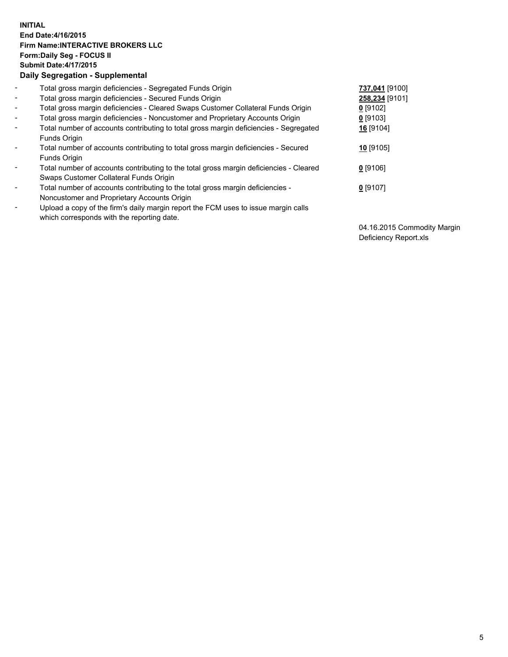## **INITIAL End Date:4/16/2015 Firm Name:INTERACTIVE BROKERS LLC Form:Daily Seg - FOCUS II Submit Date:4/17/2015 Daily Segregation - Supplemental**

| $\blacksquare$           | Total gross margin deficiencies - Segregated Funds Origin                              | 737,041 [9100] |
|--------------------------|----------------------------------------------------------------------------------------|----------------|
| $\blacksquare$           | Total gross margin deficiencies - Secured Funds Origin                                 | 258,234 [9101] |
| $\blacksquare$           | Total gross margin deficiencies - Cleared Swaps Customer Collateral Funds Origin       | $0$ [9102]     |
| $\blacksquare$           | Total gross margin deficiencies - Noncustomer and Proprietary Accounts Origin          | $0$ [9103]     |
| $\blacksquare$           | Total number of accounts contributing to total gross margin deficiencies - Segregated  | 16 [9104]      |
|                          | Funds Origin                                                                           |                |
| $\blacksquare$           | Total number of accounts contributing to total gross margin deficiencies - Secured     | $10$ [9105]    |
|                          | Funds Origin                                                                           |                |
| $\blacksquare$           | Total number of accounts contributing to the total gross margin deficiencies - Cleared | $0$ [9106]     |
|                          | Swaps Customer Collateral Funds Origin                                                 |                |
| $\overline{\phantom{a}}$ | Total number of accounts contributing to the total gross margin deficiencies -         | $0$ [9107]     |
|                          | Noncustomer and Proprietary Accounts Origin                                            |                |
| $\overline{\phantom{a}}$ | Upload a copy of the firm's daily margin report the FCM uses to issue margin calls     |                |
|                          | which corresponds with the reporting date.                                             |                |

04.16.2015 Commodity Margin Deficiency Report.xls